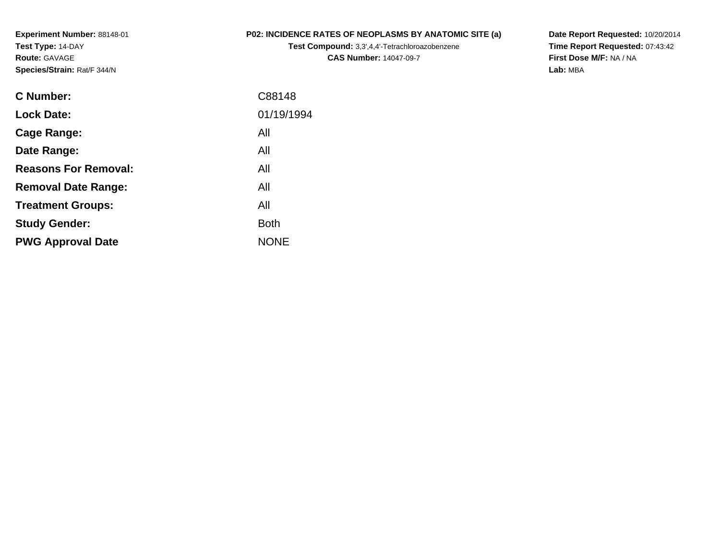**Experiment Number:** 88148-01**Test Type:** 14-DAY**Route:** GAVAGE**Species/Strain:** Rat/F 344/N

## **P02: INCIDENCE RATES OF NEOPLASMS BY ANATOMIC SITE (a)**

**Test Compound:** 3,3',4,4'-Tetrachloroazobenzene**CAS Number:** 14047-09-7

**Date Report Requested:** 10/20/2014 **Time Report Requested:** 07:43:42**First Dose M/F:** NA / NA**Lab:** MBA

| C88148      |
|-------------|
| 01/19/1994  |
| All         |
| All         |
| All         |
| All         |
| All         |
| <b>Both</b> |
| <b>NONE</b> |
|             |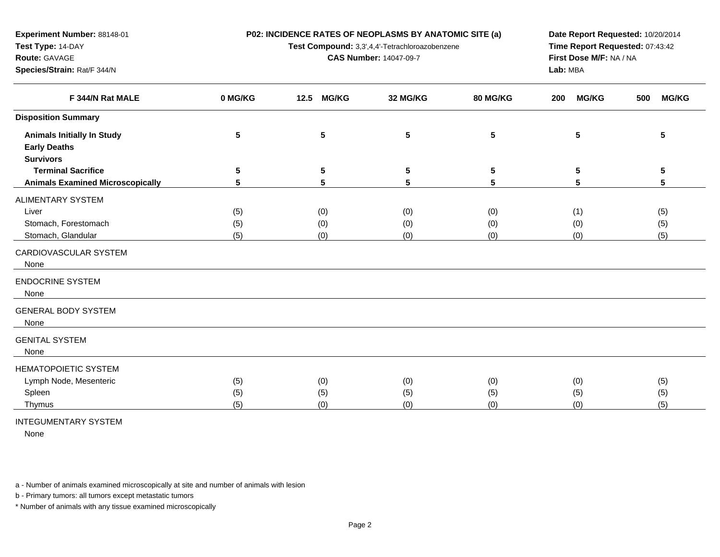**P02: INCIDENCE RATES OF NEOPLASMS BY ANATOMIC SITE (a)**

**Test Compound:** 3,3',4,4'-Tetrachloroazobenzene

**CAS Number:** 14047-09-7

**Date Report Requested:** 10/20/2014**Time Report Requested:** 07:43:42**First Dose M/F:** NA / NA**Lab:** MBA

| F 344/N Rat MALE                        | 0 MG/KG | <b>MG/KG</b><br>12.5 | 32 MG/KG | <b>80 MG/KG</b> | <b>MG/KG</b><br>200 | <b>MG/KG</b><br>500 |
|-----------------------------------------|---------|----------------------|----------|-----------------|---------------------|---------------------|
| <b>Disposition Summary</b>              |         |                      |          |                 |                     |                     |
| <b>Animals Initially In Study</b>       | 5       | 5                    | 5        | 5               | 5                   | 5                   |
| <b>Early Deaths</b>                     |         |                      |          |                 |                     |                     |
| <b>Survivors</b>                        |         |                      |          |                 |                     |                     |
| <b>Terminal Sacrifice</b>               | 5       | 5                    | 5        | 5               | 5                   | 5                   |
| <b>Animals Examined Microscopically</b> | 5       | 5                    | 5        | 5               | 5                   | 5                   |
| ALIMENTARY SYSTEM                       |         |                      |          |                 |                     |                     |
| Liver                                   | (5)     | (0)                  | (0)      | (0)             | (1)                 | (5)                 |
| Stomach, Forestomach                    | (5)     | (0)                  | (0)      | (0)             | (0)                 | (5)                 |
| Stomach, Glandular                      | (5)     | (0)                  | (0)      | (0)             | (0)                 | (5)                 |
| CARDIOVASCULAR SYSTEM                   |         |                      |          |                 |                     |                     |
| None                                    |         |                      |          |                 |                     |                     |
|                                         |         |                      |          |                 |                     |                     |
| <b>ENDOCRINE SYSTEM</b>                 |         |                      |          |                 |                     |                     |
| None                                    |         |                      |          |                 |                     |                     |
| <b>GENERAL BODY SYSTEM</b>              |         |                      |          |                 |                     |                     |
| None                                    |         |                      |          |                 |                     |                     |
| <b>GENITAL SYSTEM</b>                   |         |                      |          |                 |                     |                     |
| None                                    |         |                      |          |                 |                     |                     |
|                                         |         |                      |          |                 |                     |                     |
| <b>HEMATOPOIETIC SYSTEM</b>             |         |                      |          |                 |                     |                     |
| Lymph Node, Mesenteric                  | (5)     | (0)                  | (0)      | (0)             | (0)                 | (5)                 |
| Spleen                                  | (5)     | (5)                  | (5)      | (5)             | (5)                 | (5)                 |
| Thymus                                  | (5)     | (0)                  | (0)      | (0)             | (0)                 | (5)                 |

INTEGUMENTARY SYSTEM

**Experiment Number:** 88148-01

**Species/Strain:** Rat/F 344/N

**Test Type:** 14-DAY**Route:** GAVAGE

None

a - Number of animals examined microscopically at site and number of animals with lesion

b - Primary tumors: all tumors except metastatic tumors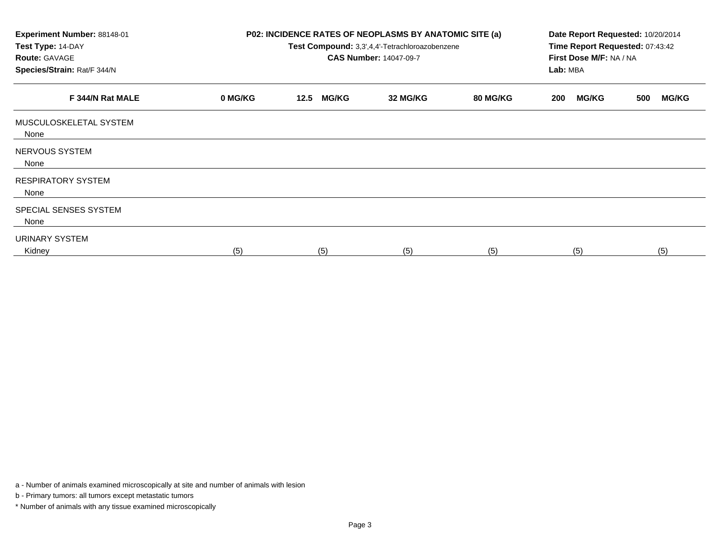| Experiment Number: 88148-01<br>Test Type: 14-DAY<br><b>Route: GAVAGE</b><br>Species/Strain: Rat/F 344/N |         | P02: INCIDENCE RATES OF NEOPLASMS BY ANATOMIC SITE (a) | Test Compound: 3,3',4,4'-Tetrachloroazobenzene<br><b>CAS Number: 14047-09-7</b> | Date Report Requested: 10/20/2014<br>Time Report Requested: 07:43:42<br>First Dose M/F: NA / NA<br>Lab: MBA |                     |                     |  |
|---------------------------------------------------------------------------------------------------------|---------|--------------------------------------------------------|---------------------------------------------------------------------------------|-------------------------------------------------------------------------------------------------------------|---------------------|---------------------|--|
| F 344/N Rat MALE                                                                                        | 0 MG/KG | <b>MG/KG</b><br>12.5                                   | 32 MG/KG                                                                        | 80 MG/KG                                                                                                    | <b>MG/KG</b><br>200 | <b>MG/KG</b><br>500 |  |
| MUSCULOSKELETAL SYSTEM<br>None                                                                          |         |                                                        |                                                                                 |                                                                                                             |                     |                     |  |
| NERVOUS SYSTEM<br>None                                                                                  |         |                                                        |                                                                                 |                                                                                                             |                     |                     |  |
| <b>RESPIRATORY SYSTEM</b><br>None                                                                       |         |                                                        |                                                                                 |                                                                                                             |                     |                     |  |
| SPECIAL SENSES SYSTEM<br>None                                                                           |         |                                                        |                                                                                 |                                                                                                             |                     |                     |  |
| URINARY SYSTEM<br>Kidney                                                                                | (5)     | (5)                                                    | (5)                                                                             | (5)                                                                                                         | (5)                 | (5)                 |  |

a - Number of animals examined microscopically at site and number of animals with lesion

b - Primary tumors: all tumors except metastatic tumors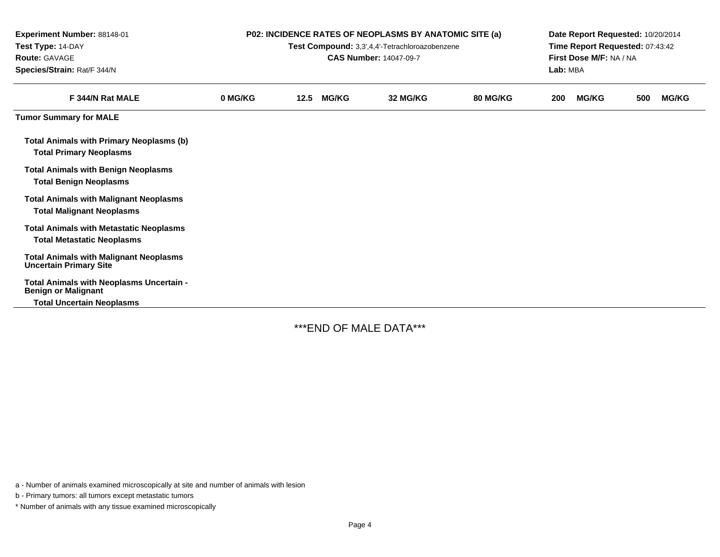| Experiment Number: 88148-01<br>Test Type: 14-DAY<br><b>Route: GAVAGE</b><br>Species/Strain: Rat/F 344/N | <b>P02: INCIDENCE RATES OF NEOPLASMS BY ANATOMIC SITE (a)</b><br>Test Compound: 3,3',4,4'-Tetrachloroazobenzene<br><b>CAS Number: 14047-09-7</b> |      |              |          |                 |     | Date Report Requested: 10/20/2014<br>Time Report Requested: 07:43:42<br>First Dose M/F: NA / NA<br>Lab: MBA |     |              |  |  |
|---------------------------------------------------------------------------------------------------------|--------------------------------------------------------------------------------------------------------------------------------------------------|------|--------------|----------|-----------------|-----|-------------------------------------------------------------------------------------------------------------|-----|--------------|--|--|
| F 344/N Rat MALE                                                                                        | 0 MG/KG                                                                                                                                          | 12.5 | <b>MG/KG</b> | 32 MG/KG | <b>80 MG/KG</b> | 200 | <b>MG/KG</b>                                                                                                | 500 | <b>MG/KG</b> |  |  |
| <b>Tumor Summary for MALE</b>                                                                           |                                                                                                                                                  |      |              |          |                 |     |                                                                                                             |     |              |  |  |
| <b>Total Animals with Primary Neoplasms (b)</b><br><b>Total Primary Neoplasms</b>                       |                                                                                                                                                  |      |              |          |                 |     |                                                                                                             |     |              |  |  |
| <b>Total Animals with Benign Neoplasms</b><br><b>Total Benign Neoplasms</b>                             |                                                                                                                                                  |      |              |          |                 |     |                                                                                                             |     |              |  |  |
| <b>Total Animals with Malignant Neoplasms</b><br><b>Total Malignant Neoplasms</b>                       |                                                                                                                                                  |      |              |          |                 |     |                                                                                                             |     |              |  |  |
| <b>Total Animals with Metastatic Neoplasms</b><br><b>Total Metastatic Neoplasms</b>                     |                                                                                                                                                  |      |              |          |                 |     |                                                                                                             |     |              |  |  |
| <b>Total Animals with Malignant Neoplasms</b><br><b>Uncertain Primary Site</b>                          |                                                                                                                                                  |      |              |          |                 |     |                                                                                                             |     |              |  |  |
| Total Animals with Neoplasms Uncertain -<br><b>Benign or Malignant</b>                                  |                                                                                                                                                  |      |              |          |                 |     |                                                                                                             |     |              |  |  |
| <b>Total Uncertain Neoplasms</b>                                                                        |                                                                                                                                                  |      |              |          |                 |     |                                                                                                             |     |              |  |  |

-

\*\*\*END OF MALE DATA\*\*\*

a - Number of animals examined microscopically at site and number of animals with lesion

b - Primary tumors: all tumors except metastatic tumors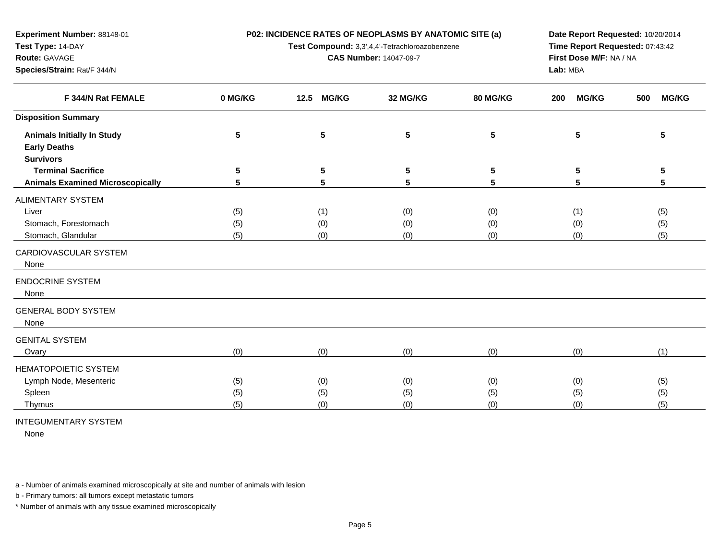**P02: INCIDENCE RATES OF NEOPLASMS BY ANATOMIC SITE (a)**

**Test Compound:** 3,3',4,4'-Tetrachloroazobenzene

**CAS Number:** 14047-09-7

**Date Report Requested:** 10/20/2014**Time Report Requested:** 07:43:42**First Dose M/F:** NA / NA**Lab:** MBA

| F 344/N Rat FEMALE                      | 0 MG/KG | <b>MG/KG</b><br>12.5 | 32 MG/KG                | 80 MG/KG | <b>MG/KG</b><br>200 | <b>MG/KG</b><br>500 |
|-----------------------------------------|---------|----------------------|-------------------------|----------|---------------------|---------------------|
| <b>Disposition Summary</b>              |         |                      |                         |          |                     |                     |
| <b>Animals Initially In Study</b>       | 5       | 5                    | $\overline{\mathbf{5}}$ | 5        | 5                   | 5                   |
| <b>Early Deaths</b>                     |         |                      |                         |          |                     |                     |
| <b>Survivors</b>                        |         |                      |                         |          |                     |                     |
| <b>Terminal Sacrifice</b>               | 5       | 5                    | 5                       | 5        | 5                   | 5                   |
| <b>Animals Examined Microscopically</b> | 5       | 5                    | 5                       | 5        | 5                   | 5                   |
| ALIMENTARY SYSTEM                       |         |                      |                         |          |                     |                     |
| Liver                                   | (5)     | (1)                  | (0)                     | (0)      | (1)                 | (5)                 |
| Stomach, Forestomach                    | (5)     | (0)                  | (0)                     | (0)      | (0)                 | (5)                 |
| Stomach, Glandular                      | (5)     | (0)                  | (0)                     | (0)      | (0)                 | (5)                 |
| CARDIOVASCULAR SYSTEM                   |         |                      |                         |          |                     |                     |
| None                                    |         |                      |                         |          |                     |                     |
| <b>ENDOCRINE SYSTEM</b>                 |         |                      |                         |          |                     |                     |
| None                                    |         |                      |                         |          |                     |                     |
| <b>GENERAL BODY SYSTEM</b>              |         |                      |                         |          |                     |                     |
| None                                    |         |                      |                         |          |                     |                     |
| <b>GENITAL SYSTEM</b>                   |         |                      |                         |          |                     |                     |
| Ovary                                   | (0)     | (0)                  | (0)                     | (0)      | (0)                 | (1)                 |
|                                         |         |                      |                         |          |                     |                     |
| <b>HEMATOPOIETIC SYSTEM</b>             |         |                      |                         |          |                     |                     |
| Lymph Node, Mesenteric                  | (5)     | (0)                  | (0)                     | (0)      | (0)                 | (5)                 |
| Spleen                                  | (5)     | (5)                  | (5)                     | (5)      | (5)                 | (5)                 |
| Thymus                                  | (5)     | (0)                  | (0)                     | (0)      | (0)                 | (5)                 |

INTEGUMENTARY SYSTEM

**Experiment Number:** 88148-01

**Species/Strain:** Rat/F 344/N

**Test Type:** 14-DAY**Route:** GAVAGE

None

a - Number of animals examined microscopically at site and number of animals with lesion

b - Primary tumors: all tumors except metastatic tumors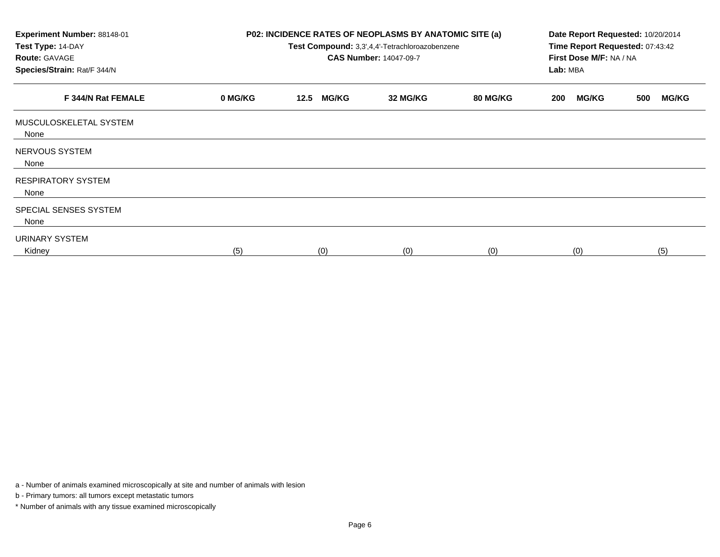| Experiment Number: 88148-01<br>Test Type: 14-DAY<br><b>Route: GAVAGE</b><br>Species/Strain: Rat/F 344/N |         | P02: INCIDENCE RATES OF NEOPLASMS BY ANATOMIC SITE (a) | Test Compound: 3,3',4,4'-Tetrachloroazobenzene<br><b>CAS Number: 14047-09-7</b> |          | Date Report Requested: 10/20/2014<br>Time Report Requested: 07:43:42<br>First Dose M/F: NA / NA<br>Lab: MBA |                     |  |  |
|---------------------------------------------------------------------------------------------------------|---------|--------------------------------------------------------|---------------------------------------------------------------------------------|----------|-------------------------------------------------------------------------------------------------------------|---------------------|--|--|
| F 344/N Rat FEMALE                                                                                      | 0 MG/KG | <b>MG/KG</b><br>12.5                                   | 32 MG/KG                                                                        | 80 MG/KG | <b>MG/KG</b><br>200                                                                                         | <b>MG/KG</b><br>500 |  |  |
| MUSCULOSKELETAL SYSTEM<br>None                                                                          |         |                                                        |                                                                                 |          |                                                                                                             |                     |  |  |
| NERVOUS SYSTEM<br>None                                                                                  |         |                                                        |                                                                                 |          |                                                                                                             |                     |  |  |
| <b>RESPIRATORY SYSTEM</b><br>None                                                                       |         |                                                        |                                                                                 |          |                                                                                                             |                     |  |  |
| SPECIAL SENSES SYSTEM<br>None                                                                           |         |                                                        |                                                                                 |          |                                                                                                             |                     |  |  |
| URINARY SYSTEM<br>Kidney                                                                                | (5)     | (0)                                                    | (0)                                                                             | (0)      | (0)                                                                                                         | (5)                 |  |  |

a - Number of animals examined microscopically at site and number of animals with lesion

b - Primary tumors: all tumors except metastatic tumors